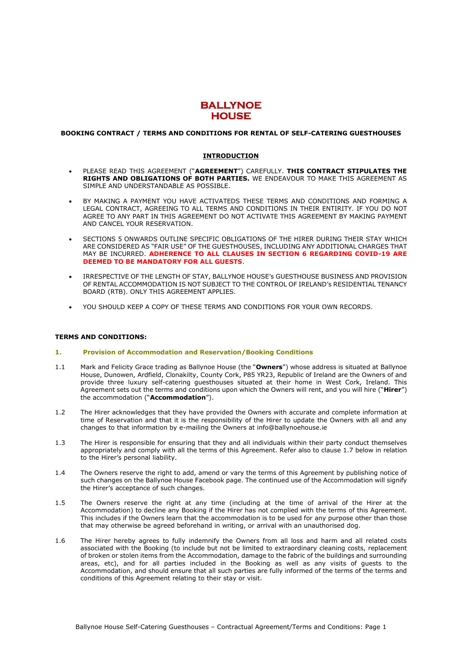

# **BOOKING CONTRACT / TERMS AND CONDITIONS FOR RENTAL OF SELF-CATERING GUESTHOUSES**

## **INTRODUCTION**

- PLEASE READ THIS AGREEMENT ("**AGREEMENT**") CAREFULLY. **THIS CONTRACT STIPULATES THE RIGHTS AND OBLIGATIONS OF BOTH PARTIES.** WE ENDEAVOUR TO MAKE THIS AGREEMENT AS SIMPLE AND UNDERSTANDABLE AS POSSIBLE.
- BY MAKING A PAYMENT YOU HAVE ACTIVATEDS THESE TERMS AND CONDITIONS AND FORMING A LEGAL CONTRACT, AGREEING TO ALL TERMS AND CONDITIONS IN THEIR ENTIRITY. IF YOU DO NOT AGREE TO ANY PART IN THIS AGREEMENT DO NOT ACTIVATE THIS AGREEMENT BY MAKING PAYMENT AND CANCEL YOUR RESERVATION.
- SECTIONS 5 ONWARDS OUTLINE SPECIFIC OBLIGATIONS OF THE HIRER DURING THEIR STAY WHICH ARE CONSIDERED AS "FAIR USE" OF THE GUESTHOUSES, INCLUDING ANY ADDITIONAL CHARGES THAT MAY BE INCURRED. **ADHERENCE TO ALL CLAUSES IN SECTION 6 REGARDING COVID-19 ARE DEEMED TO BE MANDATORY FOR ALL GUESTS**.
- IRRESPECTIVE OF THE LENGTH OF STAY, BALLYNOE HOUSE's GUESTHOUSE BUSINESS AND PROVISION OF RENTAL ACCOMMODATION IS NOT SUBJECT TO THE CONTROL OF IRELAND's RESIDENTIAL TENANCY BOARD (RTB). ONLY THIS AGREEMENT APPLIES.
- YOU SHOULD KEEP A COPY OF THESE TERMS AND CONDITIONS FOR YOUR OWN RECORDS.

#### **TERMS AND CONDITIONS:**

### **1. Provision of Accommodation and Reservation/Booking Conditions**

- 1.1 Mark and Felicity Grace trading as Ballynoe House (the "**Owners**") whose address is situated at Ballynoe House, Dunowen, Ardfield, Clonakilty, County Cork, P85 YR23, Republic of Ireland are the Owners of and provide three luxury self-catering guesthouses situated at their home in West Cork, Ireland. This Agreement sets out the terms and conditions upon which the Owners will rent, and you will hire ("**Hirer**") the accommodation ("**Accommodation**").
- 1.2 The Hirer acknowledges that they have provided the Owners with accurate and complete information at time of Reservation and that it is the responsibility of the Hirer to update the Owners with all and any changes to that information by e-mailing the Owners at info@ballynoehouse.ie
- 1.3 The Hirer is responsible for ensuring that they and all individuals within their party conduct themselves appropriately and comply with all the terms of this Agreement. Refer also to clause 1.7 below in relation to the Hirer's personal liability.
- 1.4 The Owners reserve the right to add, amend or vary the terms of this Agreement by publishing notice of such changes on the Ballynoe House Facebook page. The continued use of the Accommodation will signify the Hirer's acceptance of such changes.
- 1.5 The Owners reserve the right at any time (including at the time of arrival of the Hirer at the Accommodation) to decline any Booking if the Hirer has not complied with the terms of this Agreement. This includes if the Owners learn that the accommodation is to be used for any purpose other than those that may otherwise be agreed beforehand in writing, or arrival with an unauthorised dog.
- 1.6 The Hirer hereby agrees to fully indemnify the Owners from all loss and harm and all related costs associated with the Booking (to include but not be limited to extraordinary cleaning costs, replacement of broken or stolen items from the Accommodation, damage to the fabric of the buildings and surrounding areas, etc), and for all parties included in the Booking as well as any visits of guests to the Accommodation, and should ensure that all such parties are fully informed of the terms of the terms and conditions of this Agreement relating to their stay or visit.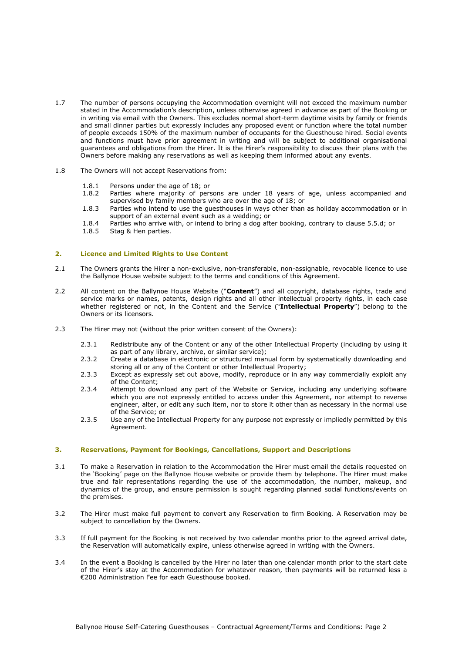- 1.7 The number of persons occupying the Accommodation overnight will not exceed the maximum number stated in the Accommodation's description, unless otherwise agreed in advance as part of the Booking or in writing via email with the Owners. This excludes normal short-term daytime visits by family or friends and small dinner parties but expressly includes any proposed event or function where the total number of people exceeds 150% of the maximum number of occupants for the Guesthouse hired. Social events and functions must have prior agreement in writing and will be subject to additional organisational guarantees and obligations from the Hirer. It is the Hirer's responsibility to discuss their plans with the Owners before making any reservations as well as keeping them informed about any events.
- 1.8 The Owners will not accept Reservations from:
	- 1.8.1 Persons under the age of 18; or
	- 1.8.2 Parties where majority of persons are under 18 years of age, unless accompanied and supervised by family members who are over the age of 18; or
	- 1.8.3 Parties who intend to use the guesthouses in ways other than as holiday accommodation or in support of an external event such as a wedding; or
	- 1.8.4 Parties who arrive with, or intend to bring a dog after booking, contrary to clause 5.5.d; or
	- 1.8.5 Stag & Hen parties.

## **2. Licence and Limited Rights to Use Content**

- 2.1 The Owners grants the Hirer a non-exclusive, non-transferable, non-assignable, revocable licence to use the Ballynoe House website subject to the terms and conditions of this Agreement.
- 2.2 All content on the Ballynoe House Website ("**Content**") and all copyright, database rights, trade and service marks or names, patents, design rights and all other intellectual property rights, in each case whether registered or not, in the Content and the Service ("**Intellectual Property**") belong to the Owners or its licensors.
- 2.3 The Hirer may not (without the prior written consent of the Owners):
	- 2.3.1 Redistribute any of the Content or any of the other Intellectual Property (including by using it as part of any library, archive, or similar service);
	- 2.3.2 Create a database in electronic or structured manual form by systematically downloading and storing all or any of the Content or other Intellectual Property;
	- 2.3.3 Except as expressly set out above, modify, reproduce or in any way commercially exploit any of the Content;
	- 2.3.4 Attempt to download any part of the Website or Service, including any underlying software which you are not expressly entitled to access under this Agreement, nor attempt to reverse engineer, alter, or edit any such item, nor to store it other than as necessary in the normal use of the Service; or
	- 2.3.5 Use any of the Intellectual Property for any purpose not expressly or impliedly permitted by this Agreement.

#### **3. Reservations, Payment for Bookings, Cancellations, Support and Descriptions**

- 3.1 To make a Reservation in relation to the Accommodation the Hirer must email the details requested on the 'Booking' page on the Ballynoe House website or provide them by telephone. The Hirer must make true and fair representations regarding the use of the accommodation, the number, makeup, and dynamics of the group, and ensure permission is sought regarding planned social functions/events on the premises.
- 3.2 The Hirer must make full payment to convert any Reservation to firm Booking. A Reservation may be subject to cancellation by the Owners.
- 3.3 If full payment for the Booking is not received by two calendar months prior to the agreed arrival date, the Reservation will automatically expire, unless otherwise agreed in writing with the Owners.
- 3.4 In the event a Booking is cancelled by the Hirer no later than one calendar month prior to the start date of the Hirer's stay at the Accommodation for whatever reason, then payments will be returned less a €200 Administration Fee for each Guesthouse booked.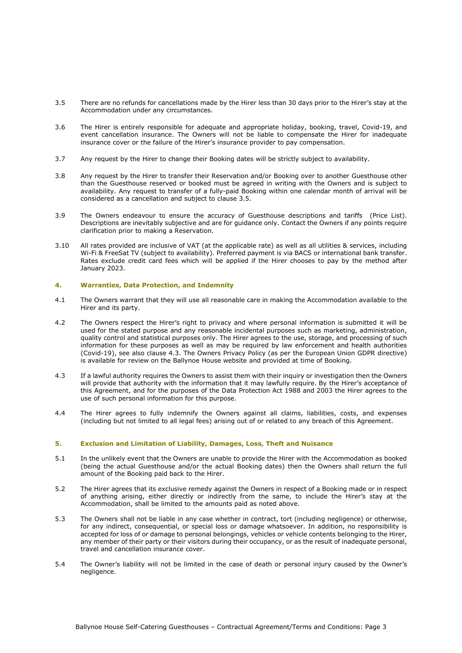- 3.5 There are no refunds for cancellations made by the Hirer less than 30 days prior to the Hirer's stay at the Accommodation under any circumstances.
- 3.6 The Hirer is entirely responsible for adequate and appropriate holiday, booking, travel, Covid-19, and event cancellation insurance. The Owners will not be liable to compensate the Hirer for inadequate insurance cover or the failure of the Hirer's insurance provider to pay compensation.
- 3.7 Any request by the Hirer to change their Booking dates will be strictly subject to availability.
- 3.8 Any request by the Hirer to transfer their Reservation and/or Booking over to another Guesthouse other than the Guesthouse reserved or booked must be agreed in writing with the Owners and is subject to availability. Any request to transfer of a fully-paid Booking within one calendar month of arrival will be considered as a cancellation and subject to clause 3.5.
- 3.9 The Owners endeavour to ensure the accuracy of Guesthouse descriptions and tariffs (Price List). Descriptions are inevitably subjective and are for guidance only. Contact the Owners if any points require clarification prior to making a Reservation.
- 3.10 All rates provided are inclusive of VAT (at the applicable rate) as well as all utilities & services, including Wi-Fi & FreeSat TV (subject to availability). Preferred payment is via BACS or international bank transfer. Rates exclude credit card fees which will be applied if the Hirer chooses to pay by the method after January 2023.

## **4. Warranties, Data Protection, and Indemnity**

- 4.1 The Owners warrant that they will use all reasonable care in making the Accommodation available to the Hirer and its party.
- 4.2 The Owners respect the Hirer's right to privacy and where personal information is submitted it will be used for the stated purpose and any reasonable incidental purposes such as marketing, administration, quality control and statistical purposes only. The Hirer agrees to the use, storage, and processing of such information for these purposes as well as may be required by law enforcement and health authorities (Covid-19), see also clause 4.3. The Owners Privacy Policy (as per the European Union GDPR directive) is available for review on the Ballynoe House website and provided at time of Booking.
- 4.3 If a lawful authority requires the Owners to assist them with their inquiry or investigation then the Owners will provide that authority with the information that it may lawfully require. By the Hirer's acceptance of this Agreement, and for the purposes of the Data Protection Act 1988 and 2003 the Hirer agrees to the use of such personal information for this purpose.
- 4.4 The Hirer agrees to fully indemnify the Owners against all claims, liabilities, costs, and expenses (including but not limited to all legal fees) arising out of or related to any breach of this Agreement.

# **5. Exclusion and Limitation of Liability, Damages, Loss, Theft and Nuisance**

- 5.1 In the unlikely event that the Owners are unable to provide the Hirer with the Accommodation as booked (being the actual Guesthouse and/or the actual Booking dates) then the Owners shall return the full amount of the Booking paid back to the Hirer.
- 5.2 The Hirer agrees that its exclusive remedy against the Owners in respect of a Booking made or in respect of anything arising, either directly or indirectly from the same, to include the Hirer's stay at the Accommodation, shall be limited to the amounts paid as noted above.
- 5.3 The Owners shall not be liable in any case whether in contract, tort (including negligence) or otherwise, for any indirect, consequential, or special loss or damage whatsoever. In addition, no responsibility is accepted for loss of or damage to personal belongings, vehicles or vehicle contents belonging to the Hirer, any member of their party or their visitors during their occupancy, or as the result of inadequate personal, travel and cancellation insurance cover.
- 5.4 The Owner's liability will not be limited in the case of death or personal injury caused by the Owner's negligence.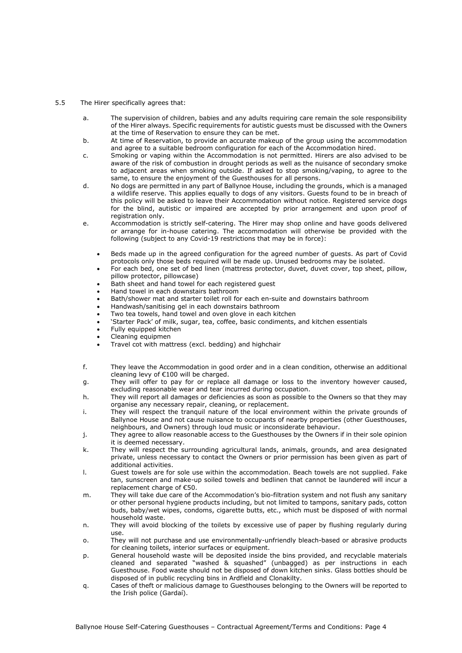- 5.5 The Hirer specifically agrees that:
	- a. The supervision of children, babies and any adults requiring care remain the sole responsibility of the Hirer always. Specific requirements for autistic guests must be discussed with the Owners at the time of Reservation to ensure they can be met.
	- b. At time of Reservation, to provide an accurate makeup of the group using the accommodation and agree to a suitable bedroom configuration for each of the Accommodation hired.
	- c. Smoking or vaping within the Accommodation is not permitted. Hirers are also advised to be aware of the risk of combustion in drought periods as well as the nuisance of secondary smoke to adjacent areas when smoking outside. If asked to stop smoking/vaping, to agree to the same, to ensure the enjoyment of the Guesthouses for all persons.
	- d. No dogs are permitted in any part of Ballynoe House, including the grounds, which is a managed a wildlife reserve. This applies equally to dogs of any visitors. Guests found to be in breach of this policy will be asked to leave their Accommodation without notice. Registered service dogs for the blind, autistic or impaired are accepted by prior arrangement and upon proof of registration only.
	- e. Accommodation is strictly self-catering. The Hirer may shop online and have goods delivered or arrange for in-house catering. The accommodation will otherwise be provided with the following (subject to any Covid-19 restrictions that may be in force):
		- Beds made up in the agreed configuration for the agreed number of guests. As part of Covid protocols only those beds required will be made up. Unused bedrooms may be isolated.
		- For each bed, one set of bed linen (mattress protector, duvet, duvet cover, top sheet, pillow, pillow protector, pillowcase)
		- Bath sheet and hand towel for each registered guest
		- Hand towel in each downstairs bathroom
		- Bath/shower mat and starter toilet roll for each en-suite and downstairs bathroom
		- Handwash/sanitising gel in each downstairs bathroom
		- Two tea towels, hand towel and oven glove in each kitchen
		- 'Starter Pack' of milk, sugar, tea, coffee, basic condiments, and kitchen essentials
		- Fully equipped kitchen
		- Cleaning equipmen
		- Travel cot with mattress (excl. bedding) and highchair
	- f. They leave the Accommodation in good order and in a clean condition, otherwise an additional cleaning levy of €100 will be charged.
	- g. They will offer to pay for or replace all damage or loss to the inventory however caused, excluding reasonable wear and tear incurred during occupation.
	- h. They will report all damages or deficiencies as soon as possible to the Owners so that they may organise any necessary repair, cleaning, or replacement.
	- i. They will respect the tranquil nature of the local environment within the private grounds of Ballynoe House and not cause nuisance to occupants of nearby properties (other Guesthouses, neighbours, and Owners) through loud music or inconsiderate behaviour.
	- j. They agree to allow reasonable access to the Guesthouses by the Owners if in their sole opinion it is deemed necessary.
	- k. They will respect the surrounding agricultural lands, animals, grounds, and area designated private, unless necessary to contact the Owners or prior permission has been given as part of additional activities.
	- l. Guest towels are for sole use within the accommodation. Beach towels are not supplied. Fake tan, sunscreen and make-up soiled towels and bedlinen that cannot be laundered will incur a replacement charge of €50.
	- m. They will take due care of the Accommodation's bio-filtration system and not flush any sanitary or other personal hygiene products including, but not limited to tampons, sanitary pads, cotton buds, baby/wet wipes, condoms, cigarette butts, etc., which must be disposed of with normal household waste.
	- n. They will avoid blocking of the toilets by excessive use of paper by flushing regularly during use.
	- o. They will not purchase and use environmentally-unfriendly bleach-based or abrasive products for cleaning toilets, interior surfaces or equipment.
	- p. General household waste will be deposited inside the bins provided, and recyclable materials cleaned and separated "washed & squashed" (unbagged) as per instructions in each Guesthouse. Food waste should not be disposed of down kitchen sinks. Glass bottles should be disposed of in public recycling bins in Ardfield and Clonakilty.
	- q. Cases of theft or malicious damage to Guesthouses belonging to the Owners will be reported to the Irish police (Gardaí).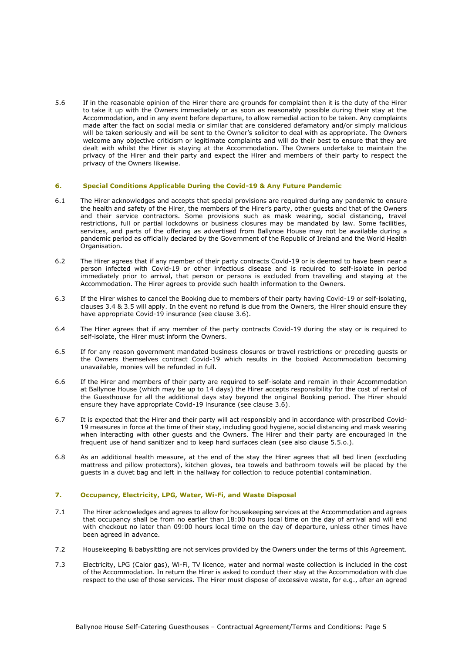5.6 If in the reasonable opinion of the Hirer there are grounds for complaint then it is the duty of the Hirer to take it up with the Owners immediately or as soon as reasonably possible during their stay at the Accommodation, and in any event before departure, to allow remedial action to be taken. Any complaints made after the fact on social media or similar that are considered defamatory and/or simply malicious will be taken seriously and will be sent to the Owner's solicitor to deal with as appropriate. The Owners welcome any objective criticism or legitimate complaints and will do their best to ensure that they are dealt with whilst the Hirer is staying at the Accommodation. The Owners undertake to maintain the privacy of the Hirer and their party and expect the Hirer and members of their party to respect the privacy of the Owners likewise.

# **6. Special Conditions Applicable During the Covid-19 & Any Future Pandemic**

- 6.1 The Hirer acknowledges and accepts that special provisions are required during any pandemic to ensure the health and safety of the Hirer, the members of the Hirer's party, other guests and that of the Owners and their service contractors. Some provisions such as mask wearing, social distancing, travel restrictions, full or partial lockdowns or business closures may be mandated by law. Some facilities, services, and parts of the offering as advertised from Ballynoe House may not be available during a pandemic period as officially declared by the Government of the Republic of Ireland and the World Health Organisation.
- 6.2 The Hirer agrees that if any member of their party contracts Covid-19 or is deemed to have been near a person infected with Covid-19 or other infectious disease and is required to self-isolate in period immediately prior to arrival, that person or persons is excluded from travelling and staying at the Accommodation. The Hirer agrees to provide such health information to the Owners.
- 6.3 If the Hirer wishes to cancel the Booking due to members of their party having Covid-19 or self-isolating, clauses 3.4 & 3.5 will apply. In the event no refund is due from the Owners, the Hirer should ensure they have appropriate Covid-19 insurance (see clause 3.6).
- 6.4 The Hirer agrees that if any member of the party contracts Covid-19 during the stay or is required to self-isolate, the Hirer must inform the Owners.
- 6.5 If for any reason government mandated business closures or travel restrictions or preceding guests or the Owners themselves contract Covid-19 which results in the booked Accommodation becoming unavailable, monies will be refunded in full.
- 6.6 If the Hirer and members of their party are required to self-isolate and remain in their Accommodation at Ballynoe House (which may be up to 14 days) the Hirer accepts responsibility for the cost of rental of the Guesthouse for all the additional days stay beyond the original Booking period. The Hirer should ensure they have appropriate Covid-19 insurance (see clause 3.6).
- 6.7 It is expected that the Hirer and their party will act responsibly and in accordance with proscribed Covid-19 measures in force at the time of their stay, including good hygiene, social distancing and mask wearing when interacting with other guests and the Owners. The Hirer and their party are encouraged in the frequent use of hand sanitizer and to keep hard surfaces clean (see also clause 5.5.o.).
- 6.8 As an additional health measure, at the end of the stay the Hirer agrees that all bed linen (excluding mattress and pillow protectors), kitchen gloves, tea towels and bathroom towels will be placed by the guests in a duvet bag and left in the hallway for collection to reduce potential contamination.

### **7. Occupancy, Electricity, LPG, Water, Wi-Fi, and Waste Disposal**

- 7.1 The Hirer acknowledges and agrees to allow for housekeeping services at the Accommodation and agrees that occupancy shall be from no earlier than 18:00 hours local time on the day of arrival and will end with checkout no later than 09:00 hours local time on the day of departure, unless other times have been agreed in advance.
- 7.2 Housekeeping & babysitting are not services provided by the Owners under the terms of this Agreement.
- 7.3 Electricity, LPG (Calor gas), Wi-Fi, TV licence, water and normal waste collection is included in the cost of the Accommodation. In return the Hirer is asked to conduct their stay at the Accommodation with due respect to the use of those services. The Hirer must dispose of excessive waste, for e.g., after an agreed